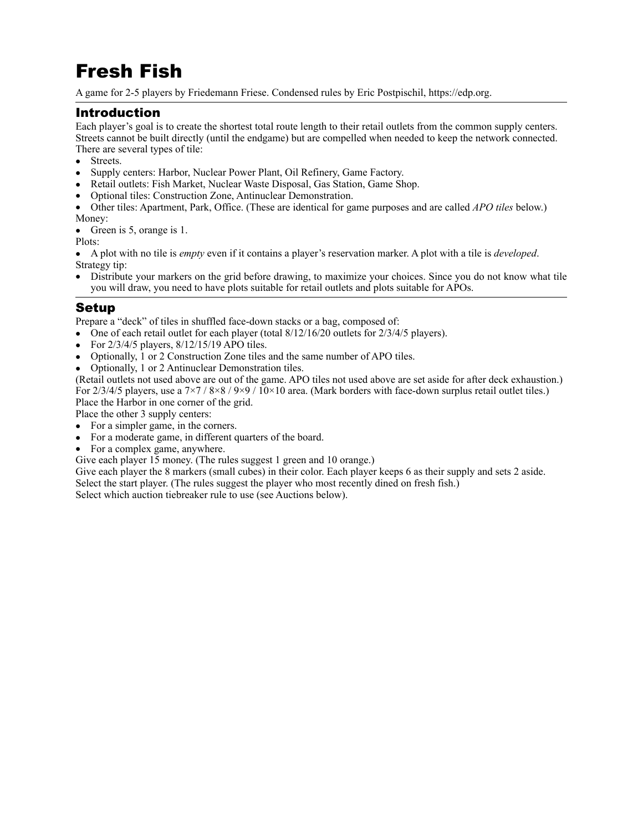# Fresh Fish

A game for 2-5 players by Friedemann Friese. Condensed rules by Eric Postpischil,<https://edp.org>.

## Introduction

Each player's goal is to create the shortest total route length to their retail outlets from the common supply centers. Streets cannot be built directly (until the endgame) but are compelled when needed to keep the network connected. There are several types of tile:

- Streets.
- Supply centers: Harbor, Nuclear Power Plant, Oil Refinery, Game Factory.
- Retail outlets: Fish Market, Nuclear Waste Disposal, Gas Station, Game Shop.
- Optional tiles: Construction Zone, Antinuclear Demonstration.

• Other tiles: Apartment, Park, Office. (These are identical for game purposes and are called *APO tiles* below.) Money:

• Green is 5, orange is 1.

Plots:

• A plot with no tile is *empty* even if it contains a player's reservation marker. A plot with a tile is *developed*. Strategy tip:

• Distribute your markers on the grid before drawing, to maximize your choices. Since you do not know what tile you will draw, you need to have plots suitable for retail outlets and plots suitable for APOs.

#### Setup

Prepare a "deck" of tiles in shuffled face-down stacks or a bag, composed of:

- One of each retail outlet for each player (total  $8/12/16/20$  outlets for  $2/3/4/5$  players).
- For  $2/3/4/5$  players,  $8/12/15/19$  APO tiles.
- Optionally, 1 or 2 Construction Zone tiles and the same number of APO tiles.
- Optionally, 1 or 2 Antinuclear Demonstration tiles.

(Retail outlets not used above are out of the game. APO tiles not used above are set aside for after deck exhaustion.) For  $2/3/4/5$  players, use a  $7\times7$  /  $8\times8$  /  $9\times9$  /  $10\times10$  area. (Mark borders with face-down surplus retail outlet tiles.) Place the Harbor in one corner of the grid.

Place the other 3 supply centers:

- For a simpler game, in the corners.
- For a moderate game, in different quarters of the board.
- For a complex game, anywhere.
- Give each player 15 money. (The rules suggest 1 green and 10 orange.)

Give each player the 8 markers (small cubes) in their color. Each player keeps 6 as their supply and sets 2 aside. Select the start player. (The rules suggest the player who most recently dined on fresh fish.)

Select which auction tiebreaker rule to use (see Auctions below).